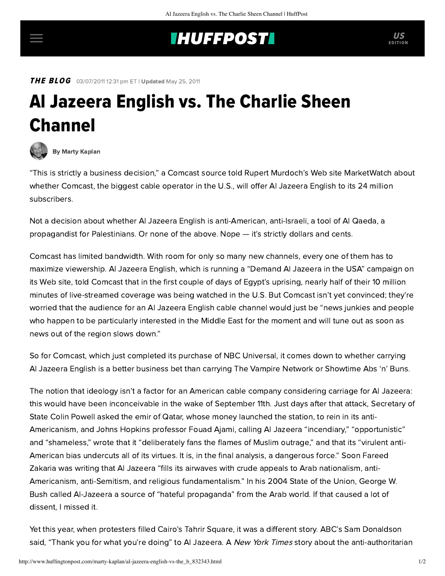## **INUFFPOST**

THE BLOG 03/07/2011 12:31 pm ET | Updated May 25, 2011

## Al Jazeera English vs. The Charlie Sheen Channel



[By Marty Kaplan](http://www.huffingtonpost.com/author/marty-kaplan)

"This is strictly a business decision," a Comcast source told Rupert Murdoch's Web site [MarketWatch](http://www.marketwatch.com/story/al-jazeera-english-makes-its-case-to-comcast-2011-03-01) about whether Comcast, the biggest cable operator in the U.S., will offer Al Jazeera English to its 24 million subscribers.

Not a decision about whether Al Jazeera English is anti-American, anti-Israeli, a tool of Al Qaeda, a propagandist for Palestinians. Or none of the above. Nope — it's strictly dollars and cents.

Comcast has limited bandwidth. With room for only so many new channels, every one of them has to maximize viewership. Al Jazeera English, which is running a "Demand Al Jazeera in the USA" campaign on its [Web site](http://english.aljazeera.net/), told Comcast that in the first couple of days of Egypt's uprising, nearly half of their 10 million minutes of live-streamed coverage was being watched in the U.S. But Comcast isn't yet convinced; they're worried that the audience for an Al Jazeera English cable channel would just be "news junkies and people who happen to be particularly interested in the Middle East for the moment and will tune out as soon as news out of the region slows down."

So for Comcast, which just completed its purchase of NBC Universal, it comes down to whether carrying Al Jazeera English is a better business bet than carrying The Vampire Network or Showtime Abs 'n' Buns.

The notion that ideology isn't a factor for an American cable company considering carriage for Al Jazeera: this would have been inconceivable in the wake of September 11th. Just days after that attack, Secretary of State Colin Powell [asked](http://www.journalism.org/node/1530) the emir of Qatar, whose money launched the station, to rein in its anti-Americanism, and Johns Hopkins professor Fouad Ajami, [calling](http://www.salon.com/news/feature/2001/12/21/ajami) Al Jazeera "incendiary," "opportunistic" and "shameless," wrote that it "deliberately fans the flames of Muslim outrage," and that its "virulent anti-American bias undercuts all of its virtues. It is, in the final analysis, a dangerous force." Soon Fareed Zakaria was [writing](http://www.mafhoum.com/press9/260C31.htm) that Al Jazeera "fills its airwaves with crude appeals to Arab nationalism, anti-Americanism, anti-Semitism, and religious fundamentalism." In his 2004 State of the Union, George W. Bush called Al-Jazeera a source of "hateful propaganda" from the Arab world. If that caused a lot of dissent, I missed it.

Yet this year, when protesters filled Cairo's Tahrir Square, it was a different story. ABC's Sam Donaldson [said](http://www.mediaite.com/tv/sam-donaldson-to-al-jazeera-thank-you-for-what-youre-doing/), "Thank you for what you're doing" to Al Jazeera. A New York Times story about the anti-authoritarian